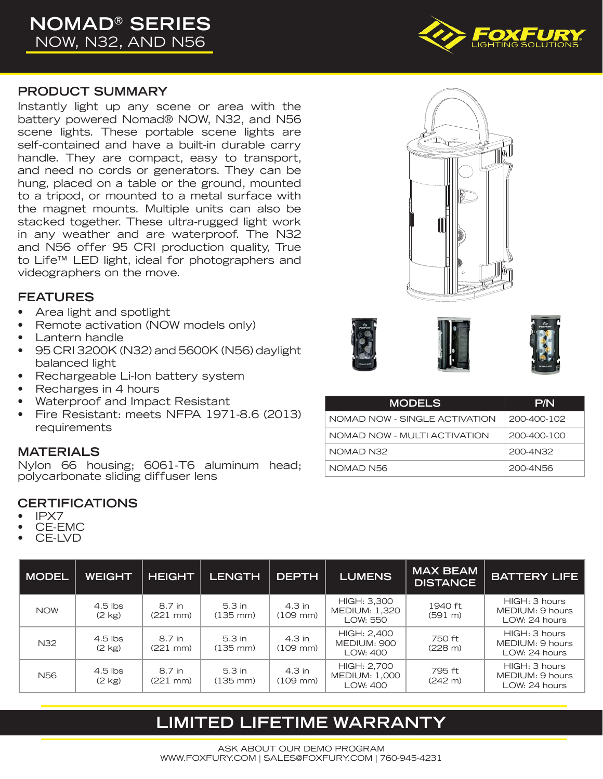# **NOMAD**® **SERIES** NOW, N32, AND N56

### **PRODUCT SUMMARY**

Instantly light up any scene or area with the battery powered Nomad® NOW, N32, and N56 scene lights. These portable scene lights are self-contained and have a built-in durable carry handle. They are compact, easy to transport, and need no cords or generators. They can be hung, placed on a table or the ground, mounted to a tripod, or mounted to a metal surface with the magnet mounts. Multiple units can also be stacked together. These ultra-rugged light work in any weather and are waterproof. The N32 and N56 offer 95 CRI production quality, True to Life™ LED light, ideal for photographers and videographers on the move.

### **FEATURES**

- Area light and spotlight
- Remote activation (NOW models only)
- Lantern handle
- 95 CRI 3200K (N32) and 5600K (N56) daylight balanced light
- Rechargeable Li-Ion battery system
- Recharges in 4 hours
- Waterproof and Impact Resistant
- Fire Resistant: meets NFPA 1971-8.6 (2013) requirements

### **MATERIALS**

Nylon 66 housing; 6061-T6 aluminum head; polycarbonate sliding diffuser lens

### **CERTIFICATIONS**

- IPX7
- CE-EMC
- CE-LVD

| <b>MODEL</b>    | <b>WEIGHT</b>                 | <b>HEIGHT</b>                  | <b>LENGTH</b>                  | <b>DEPTH</b>                     | <b>LUMENS</b>                                   | <b>MAX BEAM</b><br><b>DISTANCE</b> | <b>BATTERY LIFE</b>                               |
|-----------------|-------------------------------|--------------------------------|--------------------------------|----------------------------------|-------------------------------------------------|------------------------------------|---------------------------------------------------|
| <b>NOW</b>      | $4.5$ lbs<br>$(2 \text{ kg})$ | 8.7 in<br>(221 mm)             | 5.3 in<br>$(135 \, \text{mm})$ | 4.3 in<br>$(109$ mm $)$          | HIGH: 3,300<br><b>MEDIUM: 1,320</b><br>LOW: 550 | 1940 ft<br>(591 m)                 | HIGH: 3 hours<br>MEDIUM: 9 hours<br>LOW: 24 hours |
| N32             | $4.5$ lbs<br>$(2 \text{ kg})$ | 8.7 in<br>$(221 \, \text{mm})$ | 5.3 in<br>$(135 \, \text{mm})$ | $4.3$ in<br>$(109 \, \text{mm})$ | HIGH: 2,400<br>MEDIUM: 900<br>LOW: 400          | 750 ft<br>(228 m)                  | HIGH: 3 hours<br>MEDIUM: 9 hours<br>LOW: 24 hours |
| N <sub>56</sub> | $4.5$ lbs<br>$(2 \text{ kg})$ | 8.7 in<br>$(221 \text{ mm})$   | 5.3 in<br>$(135 \, \text{mm})$ | 4.3 in<br>$(109$ mm $)$          | HIGH: 2,700<br><b>MEDIUM: 1,000</b><br>LOW: 400 | 795 ft<br>(242 m)                  | HIGH: 3 hours<br>MEDIUM: 9 hours<br>LOW: 24 hours |

# **LIMITED LIFETIME WARRANTY**











| <b>MODELS</b>                 | P/N         |
|-------------------------------|-------------|
| NOMAD NOW - SINGLE ACTIVATION | 200-400-102 |
| NOMAD NOW - MULTI ACTIVATION  | 200-400-100 |
| NOMAD N32                     | 200-4N32    |
| NOMAD N56                     | 200-4N56    |